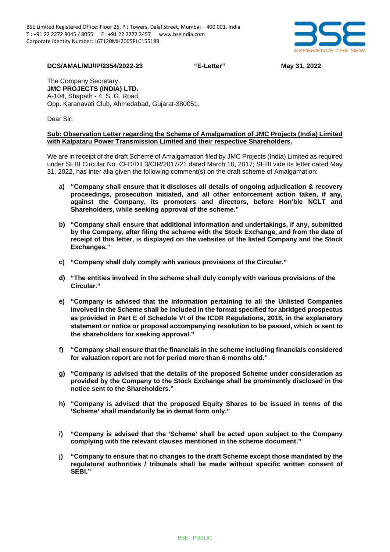

**DCS/AMAL/MJ/IP/2354/2022-23 "E-Letter" May 31, 2022**

The Company Secretary, **JMC PROJECTS (INDIA) LTD.** A-104, Shapath - 4, S. G. Road, Opp. Karanavati Club, Ahmedabad, Gujarat-380051.

Dear Sir,

## **Sub: Observation Letter regarding the Scheme of Amalgamation of JMC Projects (India) Limited with Kalpataru Power Transmission Limited and their respective Shareholders.**

We are in receipt of the draft Scheme of Amalgamation filed by JMC Projects (India) Limited as required under SEBI Circular No. CFD/DIL3/CIR/2017/21 dated March 10, 2017; SEBI vide its letter dated May 31, 2022, has inter alia given the following comment(s) on the draft scheme of Amalgamation:

- **a) "Company shall ensure that it discloses all details of ongoing adjudication & recovery proceedings, prosecution initiated, and all other enforcement action taken, if any, against the Company, its promoters and directors, before Hon'ble NCLT and Shareholders, while seeking approval of the scheme."**
- **b) "Company shall ensure that additional information and undertakings, if any, submitted by the Company, after filing the scheme with the Stock Exchange, and from the date of receipt of this letter, is displayed on the websites of the listed Company and the Stock Exchanges."**
- **c) "Company shall duly comply with various provisions of the Circular."**
- **d) "The entities involved in the scheme shall duly comply with various provisions of the Circular."**
- **e) "Company is advised that the information pertaining to all the Unlisted Companies involved in the Scheme shall be included in the format specified for abridged prospectus as provided in Part E of Schedule VI of the ICDR Regulations, 2018, in the explanatory statement or notice or proposal accompanying resolution to be passed, which is sent to the shareholders for seeking approval."**
- **f) "Company shall ensure that the financials in the scheme including financials considered for valuation report are not for period more than 6 months old."**
- **g) "Company is advised that the details of the proposed Scheme under consideration as provided by the Company to the Stock Exchange shall be prominently disclosed in the notice sent to the Shareholders."**
- **h) "Company is advised that the proposed Equity Shares to be issued in terms of the 'Scheme' shall mandatorily be in demat form only."**
- **i) "Company is advised that the 'Scheme' shall be acted upon subject to the Company complying with the relevant clauses mentioned in the scheme document."**
- **j) "Company to ensure that no changes to the draft Scheme except those mandated by the regulators/ authorities / tribunals shall be made without specific written consent of SEBI."**